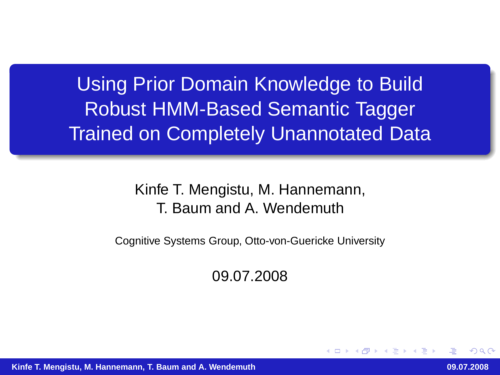Using Prior Domain Knowledge to Build Robust HMM-Based Semantic Tagger Trained on Completely Unannotated Data

> Kinfe T. Mengistu, M. Hannemann, T. Baum and A. Wendemuth

Cognitive Systems Group, Otto-von-Guericke University

09.07.2008

 $\Omega$ 

**Kinfe T. Mengistu, M. Hannemann, T. Baum and A. Wendemuth 09.07.2008**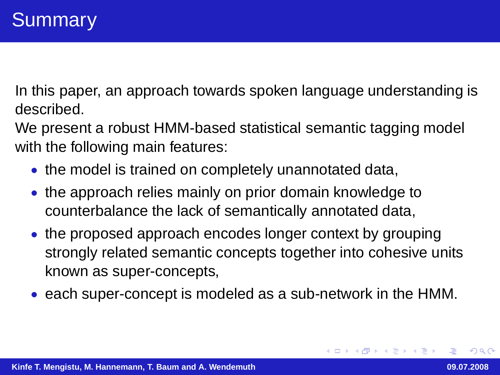In this paper, an approach towards spoken language understanding is described.

We present a robust HMM-based statistical semantic tagging model with the following main features:

- the model is trained on completely unannotated data,
- the approach relies mainly on prior domain knowledge to counterbalance the lack of semantically annotated data,
- the proposed approach encodes longer context by grouping strongly related semantic concepts together into cohesive units known as super-concepts,
- each super-concept is modeled as a sub-network in the HMM.

 $QQQ$ 

す倒す すきすす 悪すい